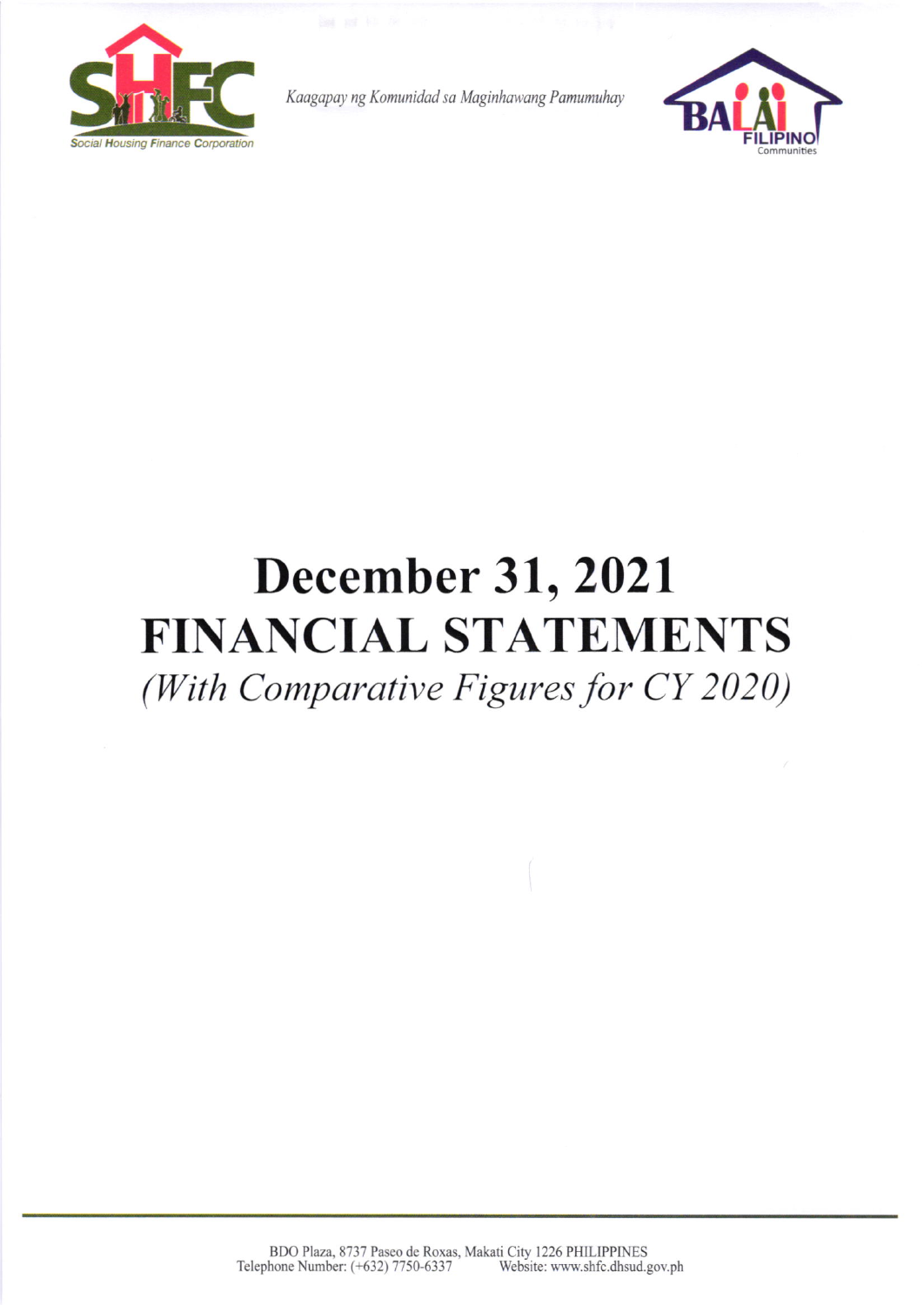

Kaagapay ng Komunidad sa Maginhawang Pamumuhay



## December 31, 2021 FINANCIAL STATEMENTS (With Comparative Figures for CY 2020)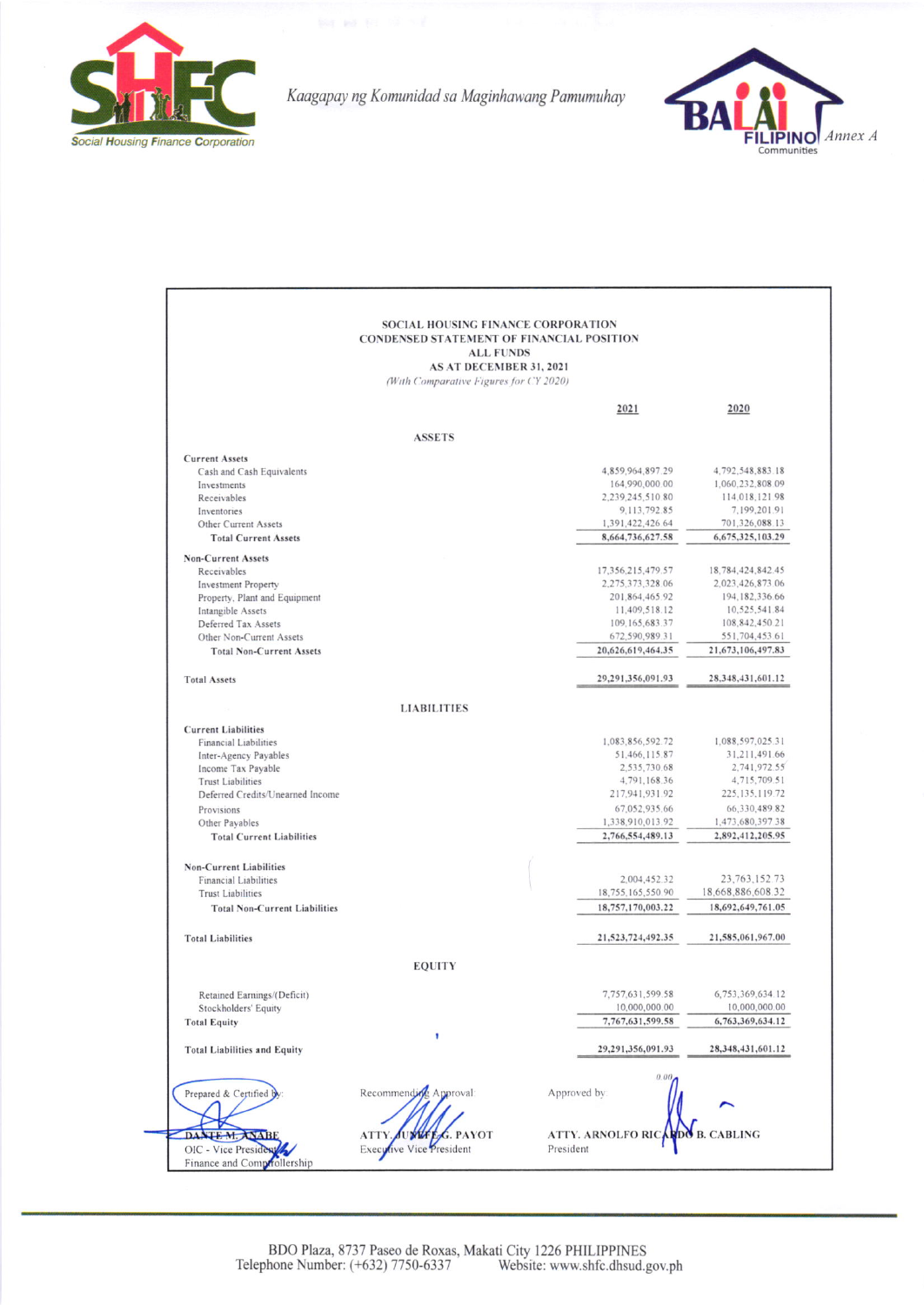

Kaagapay ng Komunidad sa Maginhawang Pamumuhay



|                                                             | SOCIAL HOUSING FINANCE CORPORATION<br><b>CONDENSED STATEMENT OF FINANCIAL POSITION</b><br><b>ALL FUNDS</b><br>AS AT DECEMBER 31, 2021 |                                         |                                     |
|-------------------------------------------------------------|---------------------------------------------------------------------------------------------------------------------------------------|-----------------------------------------|-------------------------------------|
|                                                             | (With Comparative Figures for CY 2020)                                                                                                |                                         |                                     |
|                                                             |                                                                                                                                       | 2021                                    | 2020                                |
|                                                             | <b>ASSETS</b>                                                                                                                         |                                         |                                     |
| <b>Current Assets</b>                                       |                                                                                                                                       |                                         |                                     |
| Cash and Cash Equivalents                                   |                                                                                                                                       | 4,859,964,897.29                        | 4,792,548,883.18                    |
| Investments                                                 |                                                                                                                                       | 164,990,000.00                          | 1,060,232,808.09                    |
| Receivables                                                 |                                                                                                                                       | 2,239,245,510.80                        | 114,018,121.98                      |
| Inventories                                                 |                                                                                                                                       | 9, 113, 792.85                          | 7,199,201.91                        |
| Other Current Assets                                        |                                                                                                                                       | 1,391,422,426.64<br>8,664,736,627.58    | 701,326,088.13                      |
| <b>Total Current Assets</b>                                 |                                                                                                                                       |                                         | 6,675,325,103.29                    |
| <b>Non-Current Assets</b>                                   |                                                                                                                                       |                                         |                                     |
| Receivables                                                 |                                                                                                                                       | 17,356,215,479.57                       | 18,784,424,842.45                   |
| Investment Property                                         |                                                                                                                                       | 2,275,373,328.06                        | 2,023,426,873.06                    |
| Property, Plant and Equipment                               |                                                                                                                                       | 201,864,465.92                          | 194, 182, 336.66                    |
| Intangible Assets                                           |                                                                                                                                       | 11,409,518.12                           | 10,525,541.84                       |
| Deferred Tax Assets                                         |                                                                                                                                       | 109, 165, 683.37                        | 108,842,450.21                      |
| Other Non-Current Assets<br><b>Total Non-Current Assets</b> |                                                                                                                                       | 672,590,989.31<br>20,626,619,464.35     | 551,704,453.61<br>21,673,106,497.83 |
|                                                             |                                                                                                                                       |                                         |                                     |
| <b>Total Assets</b>                                         |                                                                                                                                       | 29,291,356,091.93                       | 28, 348, 431, 601. 12               |
|                                                             | <b>LIABILITIES</b>                                                                                                                    |                                         |                                     |
| <b>Current Liabilities</b>                                  |                                                                                                                                       |                                         |                                     |
| Financial Liabilities                                       |                                                                                                                                       | 1,083,856,592.72                        | 1.088.597.025.31                    |
| Inter-Agency Payables                                       |                                                                                                                                       | 51,466,115.87                           | 31,211,491.66                       |
| Income Tax Payable                                          |                                                                                                                                       | 2,535,730.68                            | 2,741,972.55                        |
| <b>Trust Liabilities</b>                                    |                                                                                                                                       | 4,791,168.36                            | 4,715,709.51                        |
| Deferred Credits/Unearned Income                            |                                                                                                                                       | 217,941,931.92                          | 225, 135, 119.72                    |
| Provisions                                                  |                                                                                                                                       | 67,052,935.66                           | 66,330,489.82                       |
| Other Payables                                              |                                                                                                                                       | 1,338,910,013.92                        | 1,473,680,397.38                    |
| <b>Total Current Liabilities</b>                            |                                                                                                                                       | 2,766,554,489.13                        | 2,892,412,205.95                    |
| Non-Current Liabilities                                     |                                                                                                                                       |                                         |                                     |
| Financial Liabilities                                       |                                                                                                                                       | 2,004,452.32                            | 23, 763, 152. 73                    |
| <b>Trust Liabilities</b>                                    |                                                                                                                                       | 18,755,165,550.90                       | 18,668,886,608.32                   |
| <b>Total Non-Current Liabilities</b>                        |                                                                                                                                       | 18,757,170,003.22                       | 18,692,649,761.05                   |
| <b>Total Liabilities</b>                                    |                                                                                                                                       | 21,523,724,492.35                       | 21,585,061,967.00                   |
|                                                             | <b>EQUITY</b>                                                                                                                         |                                         |                                     |
| Retained Earnings/(Deficit)                                 |                                                                                                                                       | 7,757,631,599.58                        | 6,753,369,634.12                    |
| Stockholders' Equity                                        |                                                                                                                                       | 10,000,000.00                           | 10,000,000.00                       |
| <b>Total Equity</b>                                         |                                                                                                                                       | 7,767,631,599.58                        | 6,763,369,634.12                    |
| Total Liabilities and Equity                                |                                                                                                                                       | 29,291,356,091.93                       | 28, 348, 431, 601. 12               |
|                                                             |                                                                                                                                       | 0.00                                    |                                     |
| Prepared & Certified by                                     | Recommending Approval:                                                                                                                | Approved by:                            |                                     |
| DANTE M. ANABE                                              | G. PAYOT<br>ATTY                                                                                                                      | <b>ATTY. ARNOLFO RICARDO B. CABLING</b> |                                     |
| OIC - Vice President                                        | Executive Vice President                                                                                                              | President                               |                                     |
| Finance and Comprollership                                  |                                                                                                                                       |                                         |                                     |